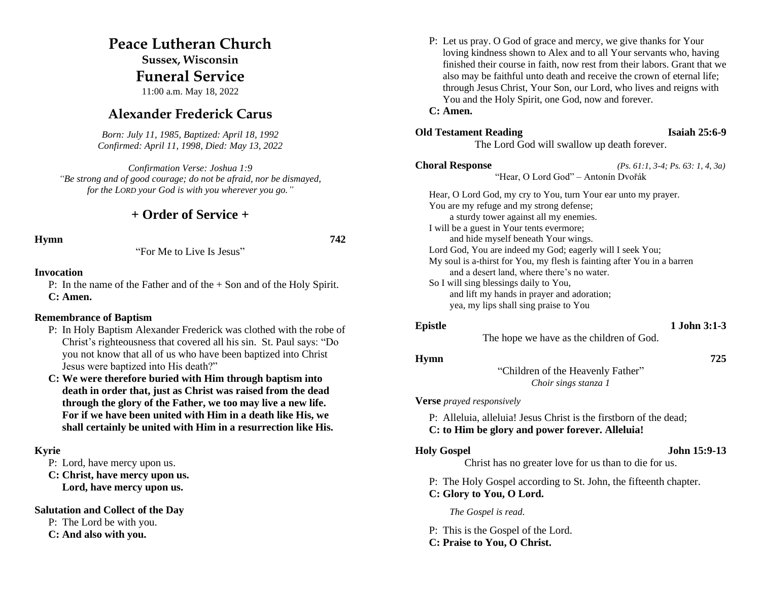### **Peace Lutheran Church**

**Sussex, Wisconsin Funeral Service**

11:00 a.m. May 18, 2022

### **Alexander Frederick Carus**

*Born: July 11, 1985, Baptized: April 18, 1992 Confirmed: April 11, 1998, Died: May 13, 2022*

*Confirmation Verse: Joshua 1:9 "Be strong and of good courage; do not be afraid, nor be dismayed, for the LORD your God is with you wherever you go."*

### **+ Order of Service +**

**Hymn 742**

"For Me to Live Is Jesus"

### **Invocation**

P: In the name of the Father and of the + Son and of the Holy Spirit. **C: Amen.**

#### **Remembrance of Baptism**

- P: In Holy Baptism Alexander Frederick was clothed with the robe of Christ's righteousness that covered all his sin. St. Paul says: "Do you not know that all of us who have been baptized into Christ Jesus were baptized into His death?"
- **C: We were therefore buried with Him through baptism into death in order that, just as Christ was raised from the dead through the glory of the Father, we too may live a new life. For if we have been united with Him in a death like His, we shall certainly be united with Him in a resurrection like His.**

#### **Kyrie**

P: Lord, have mercy upon us.

**C: Christ, have mercy upon us.**

**Lord, have mercy upon us.**

**Salutation and Collect of the Day**

P: The Lord be with you.

**C: And also with you.**

P: Let us pray. O God of grace and mercy, we give thanks for Your loving kindness shown to Alex and to all Your servants who, having finished their course in faith, now rest from their labors. Grant that we also may be faithful unto death and receive the crown of eternal life; through Jesus Christ, Your Son, our Lord, who lives and reigns with You and the Holy Spirit, one God, now and forever.

#### **C: Amen.**

### **Old Testament Reading Isaiah 25:6-9**

The Lord God will swallow up death forever.

**Choral Response** *(Ps. 61:1, 3-4; Ps. 63: 1, 4, 3a)* "Hear, O Lord God" – Antonín Dvořák

Hear, O Lord God, my cry to You, turn Your ear unto my prayer. You are my refuge and my strong defense; a sturdy tower against all my enemies. I will be a guest in Your tents evermore; and hide myself beneath Your wings. Lord God, You are indeed my God; eagerly will I seek You; My soul is a-thirst for You, my flesh is fainting after You in a barren and a desert land, where there's no water. So I will sing blessings daily to You, and lift my hands in prayer and adoration; yea, my lips shall sing praise to You

#### **Epistle 1 John 3:1-3**

The hope we have as the children of God.

#### **Hymn 725**

"Children of the Heavenly Father" *Choir sings stanza 1*

#### **Verse** *prayed responsively*

P: Alleluia, alleluia! Jesus Christ is the firstborn of the dead; **C: to Him be glory and power forever. Alleluia!**

#### **Holy Gospel John 15:9-13**

Christ has no greater love for us than to die for us.

P: The Holy Gospel according to St. John, the fifteenth chapter.

## **C: Glory to You, O Lord.**

*The Gospel is read.*

P: This is the Gospel of the Lord. **C: Praise to You, O Christ.**